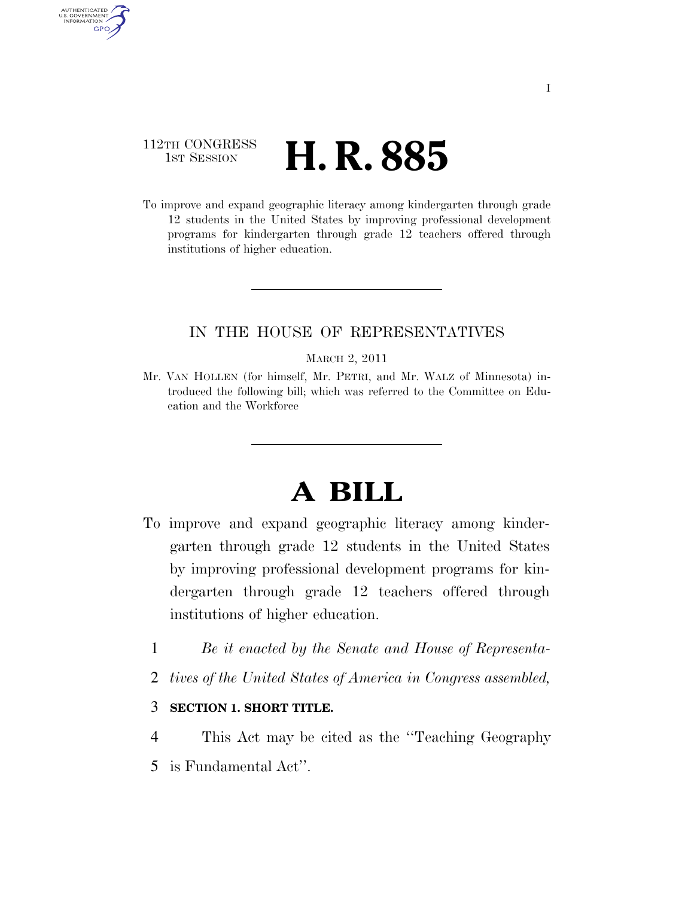### 112TH CONGRESS **1st Session H. R. 885**

AUTHENTICATED U.S. GOVERNMENT **GPO** 

> To improve and expand geographic literacy among kindergarten through grade 12 students in the United States by improving professional development programs for kindergarten through grade 12 teachers offered through institutions of higher education.

### IN THE HOUSE OF REPRESENTATIVES

#### MARCH 2, 2011

Mr. VAN HOLLEN (for himself, Mr. PETRI, and Mr. WALZ of Minnesota) introduced the following bill; which was referred to the Committee on Education and the Workforce

# **A BILL**

- To improve and expand geographic literacy among kindergarten through grade 12 students in the United States by improving professional development programs for kindergarten through grade 12 teachers offered through institutions of higher education.
	- 1 *Be it enacted by the Senate and House of Representa-*
	- 2 *tives of the United States of America in Congress assembled,*

### 3 **SECTION 1. SHORT TITLE.**

- 4 This Act may be cited as the ''Teaching Geography
- 5 is Fundamental Act''.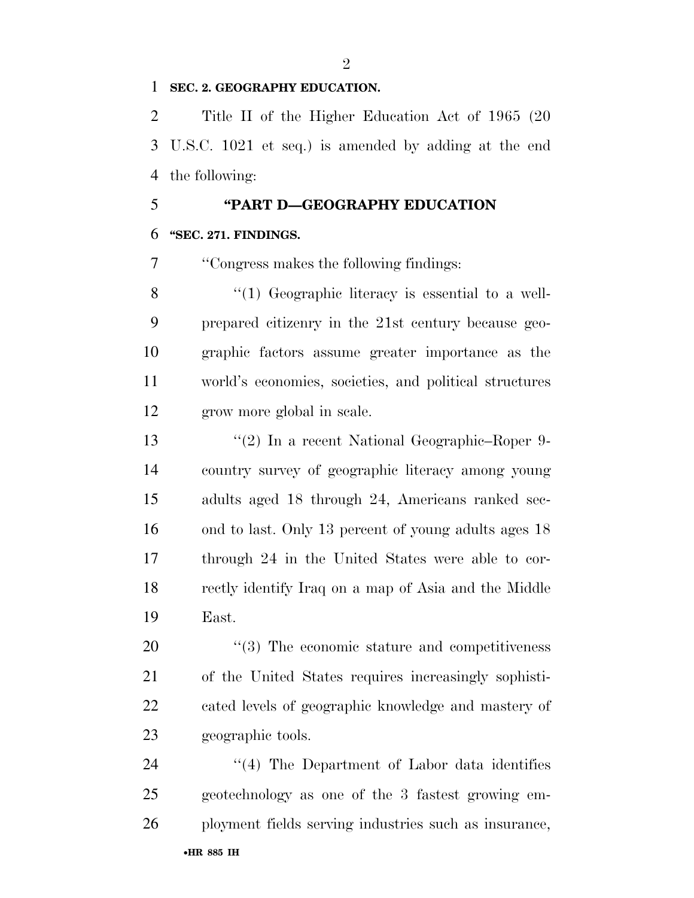### **SEC. 2. GEOGRAPHY EDUCATION.**

 Title II of the Higher Education Act of 1965 (20 U.S.C. 1021 et seq.) is amended by adding at the end the following:

## **''PART D—GEOGRAPHY EDUCATION ''SEC. 271. FINDINGS.**

''Congress makes the following findings:

8 "(1) Geographic literacy is essential to a well- prepared citizenry in the 21st century because geo- graphic factors assume greater importance as the world's economies, societies, and political structures grow more global in scale.

 ''(2) In a recent National Geographic–Roper 9- country survey of geographic literacy among young adults aged 18 through 24, Americans ranked sec-16 ond to last. Only 13 percent of young adults ages 18 through 24 in the United States were able to cor- rectly identify Iraq on a map of Asia and the Middle East.

 $(3)$  The economic stature and competitiveness of the United States requires increasingly sophisti- cated levels of geographic knowledge and mastery of geographic tools.

24 ''(4) The Department of Labor data identifies geotechnology as one of the 3 fastest growing em-ployment fields serving industries such as insurance,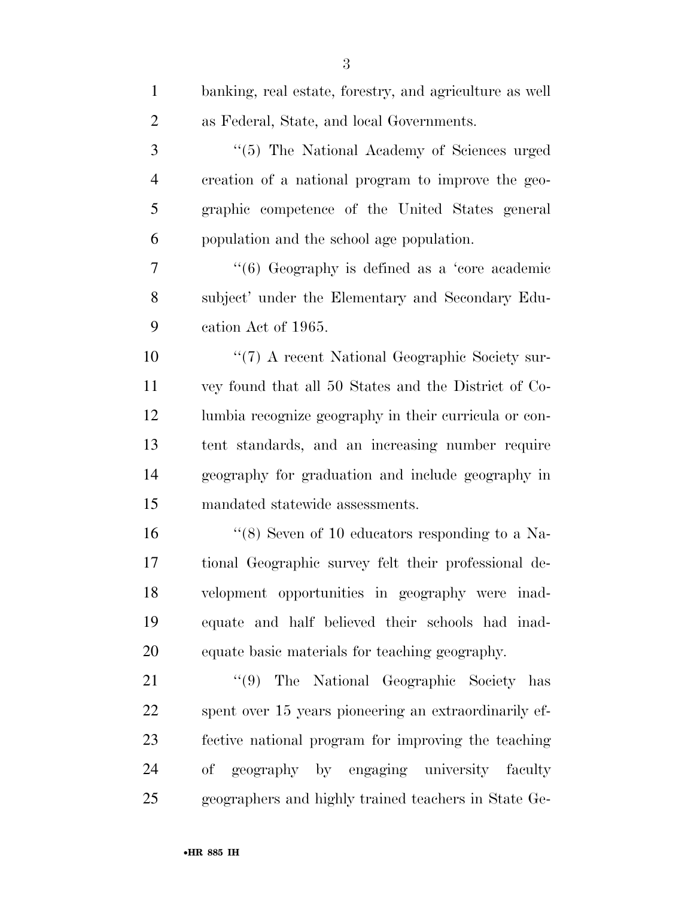| $\mathbf{1}$   | banking, real estate, forestry, and agriculture as well |
|----------------|---------------------------------------------------------|
| $\overline{2}$ | as Federal, State, and local Governments.               |
| 3              | "(5) The National Academy of Sciences urged             |
| $\overline{4}$ | creation of a national program to improve the geo-      |
| 5              | graphic competence of the United States general         |
| 6              | population and the school age population.               |
| 7              | " $(6)$ Geography is defined as a 'core academic'       |
| 8              | subject' under the Elementary and Secondary Edu-        |
| 9              | cation Act of 1965.                                     |
| 10             | "(7) A recent National Geographic Society sur-          |
| 11             | vey found that all 50 States and the District of Co-    |
| 12             | lumbia recognize geography in their curricula or con-   |
| 13             | tent standards, and an increasing number require        |
| 14             | geography for graduation and include geography in       |
| 15             | mandated statewide assessments.                         |
| 16             | "(8) Seven of 10 educators responding to a Na-          |
| 17             | tional Geographic survey felt their professional de-    |
| 18             | velopment opportunities in geography were inad-         |
| 19             | equate and half believed their schools had inad-        |
| 20             | equate basic materials for teaching geography.          |
| 21             | "(9) The National Geographic Society has                |
| 22             | spent over 15 years pioneering an extraordinarily ef-   |
| 23             | fective national program for improving the teaching     |
| 24             | geography by engaging university faculty<br>оf          |
| 25             | geographers and highly trained teachers in State Ge-    |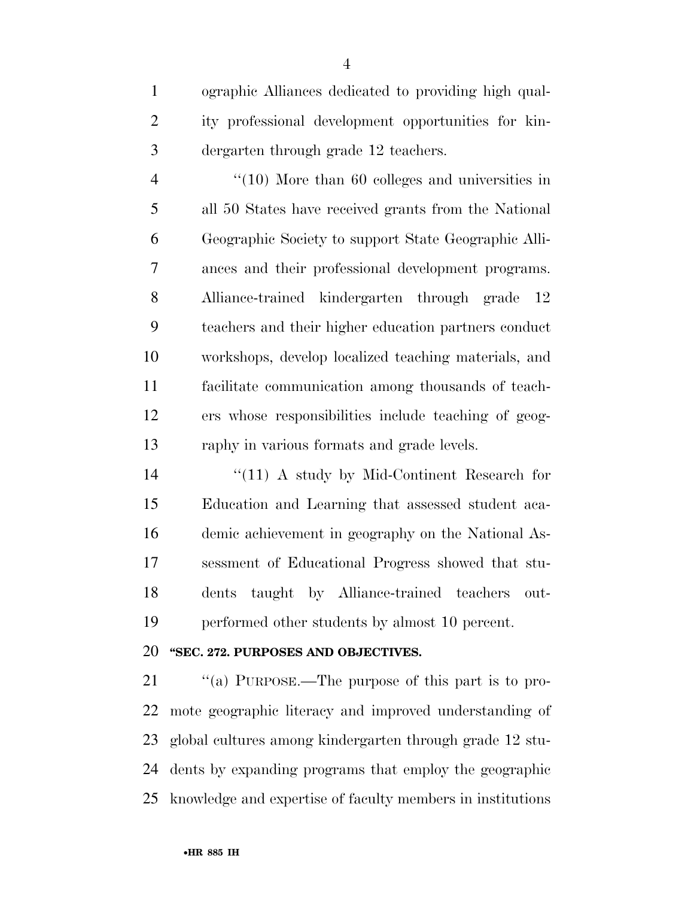ographic Alliances dedicated to providing high qual- ity professional development opportunities for kin-dergarten through grade 12 teachers.

4 "(10) More than 60 colleges and universities in all 50 States have received grants from the National Geographic Society to support State Geographic Alli- ances and their professional development programs. Alliance-trained kindergarten through grade 12 teachers and their higher education partners conduct workshops, develop localized teaching materials, and facilitate communication among thousands of teach- ers whose responsibilities include teaching of geog-raphy in various formats and grade levels.

14 ''(11) A study by Mid-Continent Research for Education and Learning that assessed student aca- demic achievement in geography on the National As- sessment of Educational Progress showed that stu- dents taught by Alliance-trained teachers out-performed other students by almost 10 percent.

### **''SEC. 272. PURPOSES AND OBJECTIVES.**

 $\cdot$  "(a) PURPOSE.—The purpose of this part is to pro- mote geographic literacy and improved understanding of global cultures among kindergarten through grade 12 stu- dents by expanding programs that employ the geographic knowledge and expertise of faculty members in institutions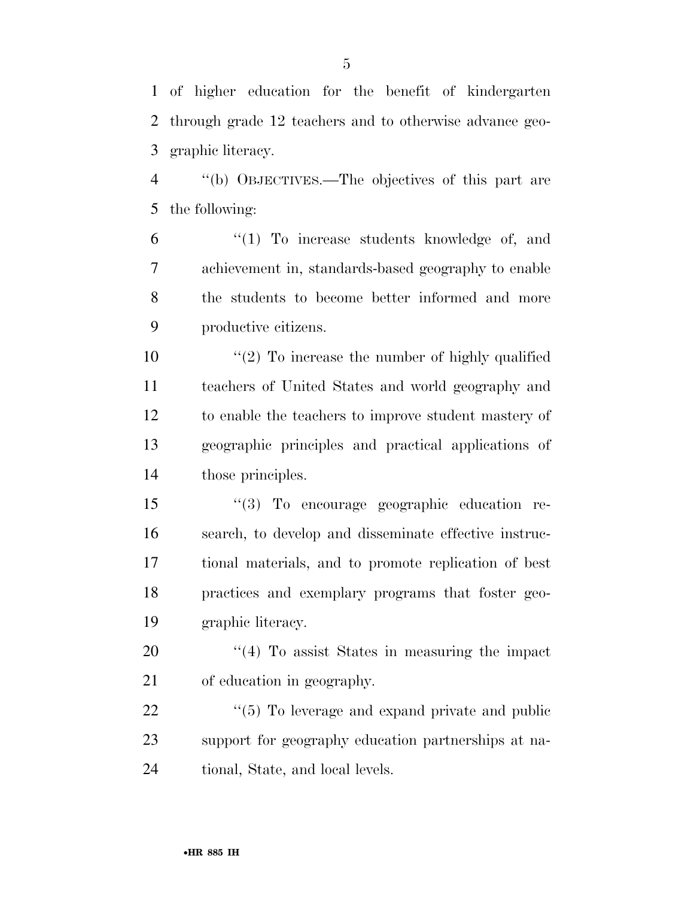of higher education for the benefit of kindergarten through grade 12 teachers and to otherwise advance geo-graphic literacy.

 ''(b) OBJECTIVES.—The objectives of this part are the following:

 ''(1) To increase students knowledge of, and achievement in, standards-based geography to enable the students to become better informed and more productive citizens.

 $\frac{1}{2}$  To increase the number of highly qualified teachers of United States and world geography and to enable the teachers to improve student mastery of geographic principles and practical applications of those principles.

 ''(3) To encourage geographic education re- search, to develop and disseminate effective instruc- tional materials, and to promote replication of best practices and exemplary programs that foster geo-graphic literacy.

20  $\frac{1}{4}$  To assist States in measuring the impact of education in geography.

22  $\frac{1}{2}$  (5) To leverage and expand private and public support for geography education partnerships at na-tional, State, and local levels.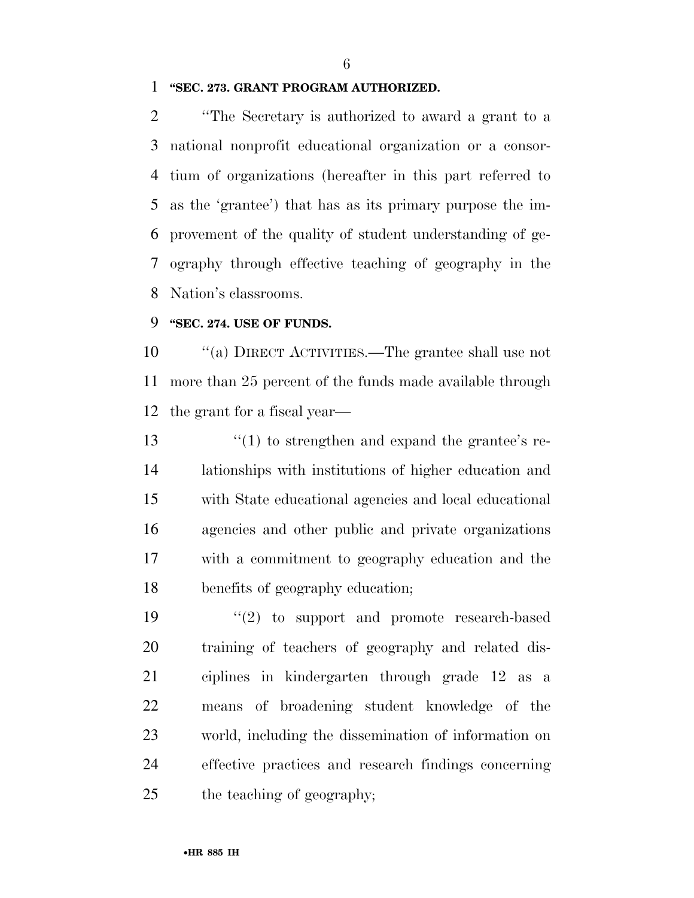### **''SEC. 273. GRANT PROGRAM AUTHORIZED.**

 ''The Secretary is authorized to award a grant to a national nonprofit educational organization or a consor- tium of organizations (hereafter in this part referred to as the 'grantee') that has as its primary purpose the im- provement of the quality of student understanding of ge- ography through effective teaching of geography in the Nation's classrooms.

### **''SEC. 274. USE OF FUNDS.**

 ''(a) DIRECT ACTIVITIES.—The grantee shall use not more than 25 percent of the funds made available through the grant for a fiscal year—

13 ''(1) to strengthen and expand the grantee's re- lationships with institutions of higher education and with State educational agencies and local educational agencies and other public and private organizations with a commitment to geography education and the benefits of geography education;

 $(2)$  to support and promote research-based training of teachers of geography and related dis- ciplines in kindergarten through grade 12 as a means of broadening student knowledge of the world, including the dissemination of information on effective practices and research findings concerning the teaching of geography;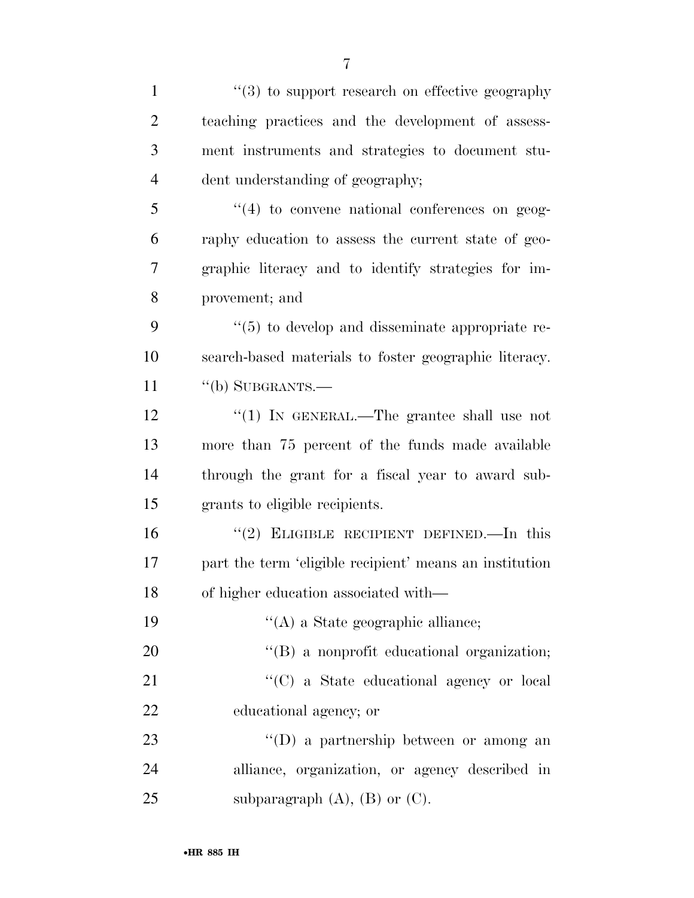| $\mathbf{1}$   | $\cdot\cdot\cdot(3)$ to support research on effective geography |
|----------------|-----------------------------------------------------------------|
| $\overline{2}$ | teaching practices and the development of assess-               |
| 3              | ment instruments and strategies to document stu-                |
| $\overline{4}$ | dent understanding of geography;                                |
| 5              | $\lq(4)$ to convene national conferences on geog-               |
| 6              | raphy education to assess the current state of geo-             |
| 7              | graphic literacy and to identify strategies for im-             |
| 8              | provement; and                                                  |
| 9              | $\lq(5)$ to develop and disseminate appropriate re-             |
| 10             | search-based materials to foster geographic literacy.           |
| 11             | $``$ (b) SUBGRANTS.—                                            |
| 12             | "(1) IN GENERAL.—The grantee shall use not                      |
| 13             | more than 75 percent of the funds made available                |
| 14             | through the grant for a fiscal year to award sub-               |
| 15             | grants to eligible recipients.                                  |
| 16             | "(2) ELIGIBLE RECIPIENT DEFINED.—In this                        |
| 17             | part the term 'eligible recipient' means an institution         |
| 18             | of higher education associated with—                            |
| 19             | $\lq\lq$ (A) a State geographic alliance;                       |
| 20             | "(B) a nonprofit educational organization;                      |
| 21             | "(C) a State educational agency or local                        |
| 22             | educational agency; or                                          |
| 23             | $\lq\lq$ a partnership between or among an                      |
| 24             | alliance, organization, or agency described in                  |
| 25             | subparagraph $(A)$ , $(B)$ or $(C)$ .                           |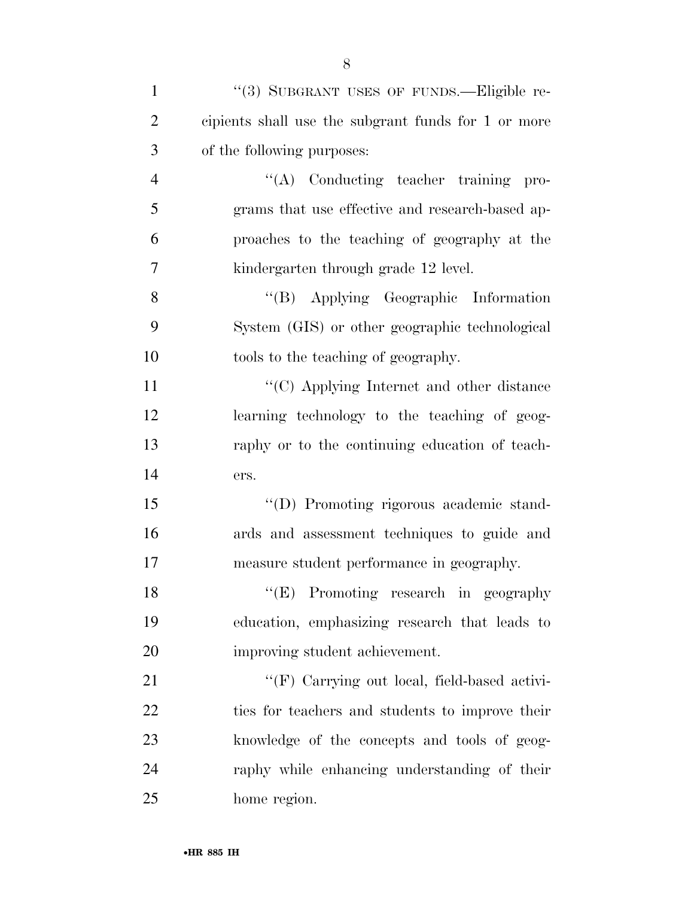| $\mathbf{1}$   | "(3) SUBGRANT USES OF FUNDS.—Eligible re-           |
|----------------|-----------------------------------------------------|
| $\overline{2}$ | cipients shall use the subgrant funds for 1 or more |
| 3              | of the following purposes:                          |
| $\overline{4}$ | "(A) Conducting teacher training pro-               |
| 5              | grams that use effective and research-based ap-     |
| 6              | proaches to the teaching of geography at the        |
| 7              | kindergarten through grade 12 level.                |
| 8              | "(B) Applying Geographic Information                |
| 9              | System (GIS) or other geographic technological      |
| 10             | tools to the teaching of geography.                 |
| 11             | "(C) Applying Internet and other distance           |
| 12             | learning technology to the teaching of geog-        |
| 13             | raphy or to the continuing education of teach-      |
| 14             | ers.                                                |
| 15             | "(D) Promoting rigorous academic stand-             |
| 16             | ards and assessment techniques to guide and         |
| 17             | measure student performance in geography.           |
| 18             | "(E) Promoting research in geography                |
| 19             | education, emphasizing research that leads to       |
| 20             | improving student achievement.                      |
| 21             | "(F) Carrying out local, field-based activi-        |
| 22             | ties for teachers and students to improve their     |
| 23             | knowledge of the concepts and tools of geog-        |
| 24             | raphy while enhancing understanding of their        |
| 25             | home region.                                        |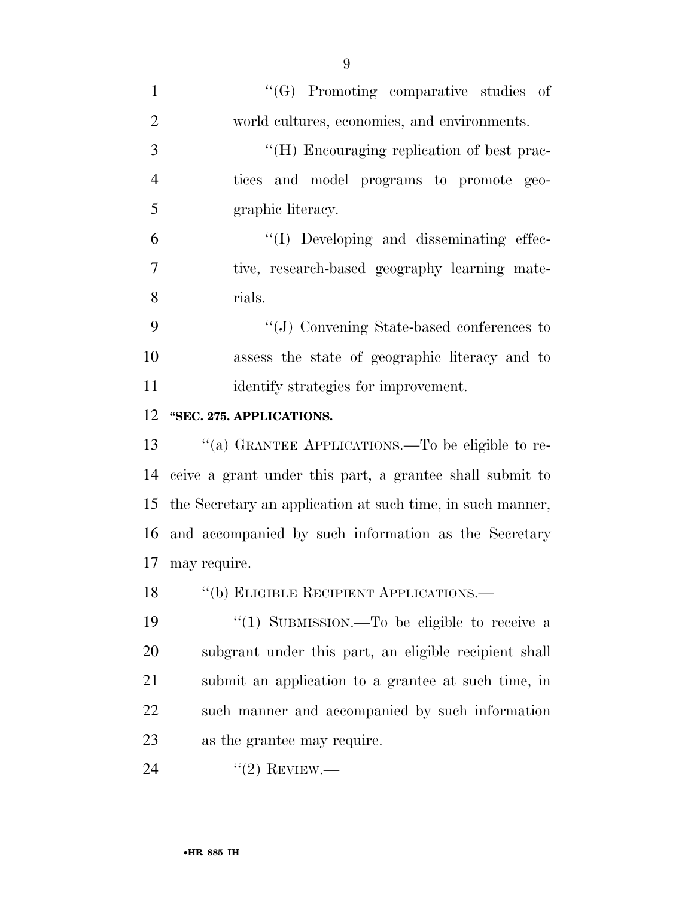| $\mathbf{1}$   | "(G) Promoting comparative studies of                         |
|----------------|---------------------------------------------------------------|
| $\overline{2}$ | world cultures, economies, and environments.                  |
| 3              | "(H) Encouraging replication of best prac-                    |
| $\overline{4}$ | tices and model programs to promote geo-                      |
| 5              | graphic literacy.                                             |
| 6              | "(I) Developing and disseminating effec-                      |
| 7              | tive, research-based geography learning mate-                 |
| 8              | rials.                                                        |
| 9              | "(J) Convening State-based conferences to                     |
| 10             | assess the state of geographic literacy and to                |
| 11             | identify strategies for improvement.                          |
| 12             | "SEC. 275. APPLICATIONS.                                      |
| 13             | "(a) GRANTEE APPLICATIONS.—To be eligible to re-              |
| 14             | ceive a grant under this part, a grantee shall submit to      |
|                | 15 the Secretary an application at such time, in such manner, |
|                | 16 and accompanied by such information as the Secretary       |
| 17             | may require.                                                  |
|                | 18 "(b) ELIGIBLE RECIPIENT APPLICATIONS.—                     |
| 19             | "(1) SUBMISSION.—To be eligible to receive a                  |
| 20             | subgrant under this part, an eligible recipient shall         |
| 21             | submit an application to a grantee at such time, in           |
| 22             | such manner and accompanied by such information               |
| 23             | as the grantee may require.                                   |
| 24             | $"(2)$ REVIEW.—                                               |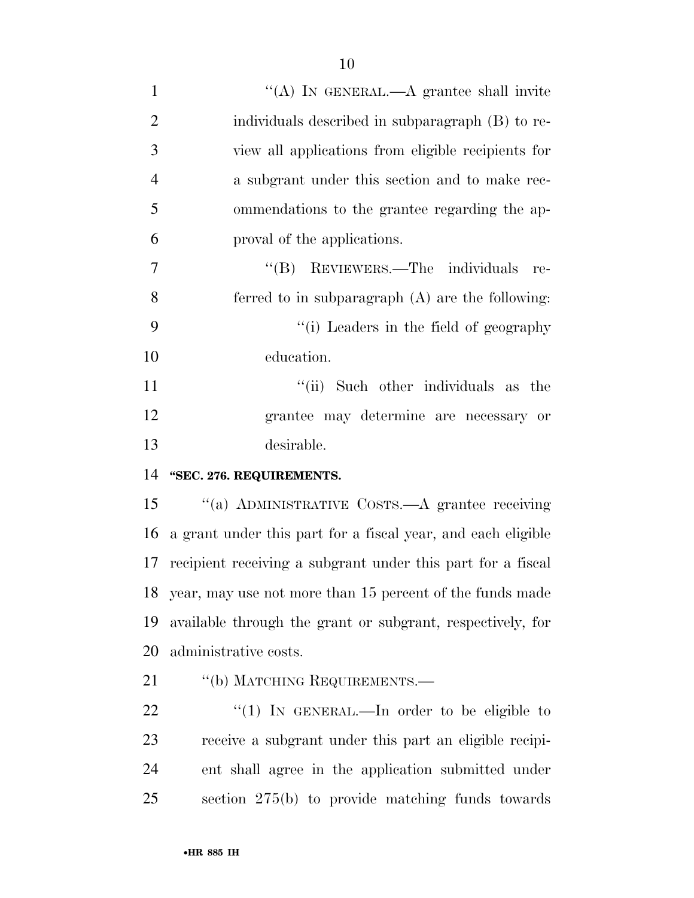1 ''(A) In GENERAL.—A grantee shall invite individuals described in subparagraph (B) to re- view all applications from eligible recipients for a subgrant under this section and to make rec- ommendations to the grantee regarding the ap- proval of the applications. 7 "'(B) REVIEWERS.—The individuals re- ferred to in subparagraph (A) are the following: ''(i) Leaders in the field of geography education. 11 ''(ii) Such other individuals as the grantee may determine are necessary or

desirable.

**''SEC. 276. REQUIREMENTS.** 

 ''(a) ADMINISTRATIVE COSTS.—A grantee receiving a grant under this part for a fiscal year, and each eligible recipient receiving a subgrant under this part for a fiscal year, may use not more than 15 percent of the funds made available through the grant or subgrant, respectively, for administrative costs.

21 "(b) MATCHING REQUIREMENTS.—

 $\frac{4}{1}$  In GENERAL.—In order to be eligible to receive a subgrant under this part an eligible recipi- ent shall agree in the application submitted under section 275(b) to provide matching funds towards